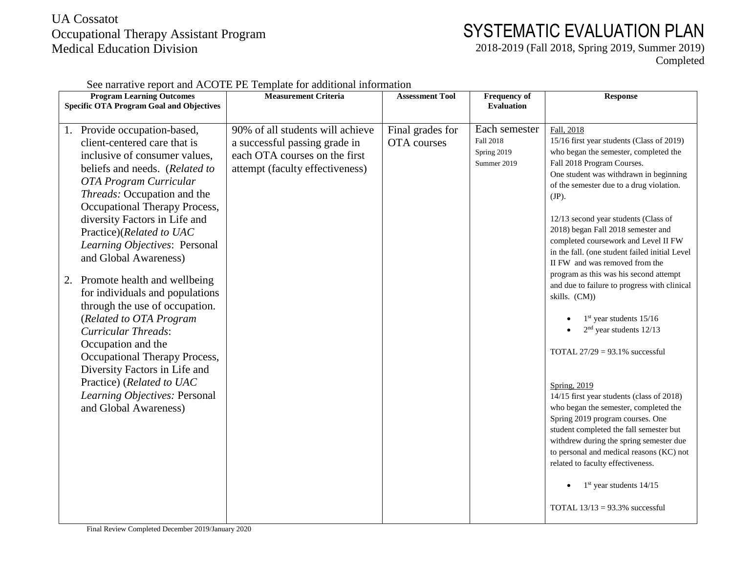## UA Cossatot Occupational Therapy Assistant Program Medical Education Division

## SYSTEMATIC EVALUATION PLAN

2018-2019 (Fall 2018, Spring 2019, Summer 2019) Completed

| <b>Program Learning Outcomes</b>                                                                                                                                                                                                                                                                                                                                                                                                                                                                                                                                                   | <b>Measurement Criteria</b>                                                                                                           | <b>Assessment Tool</b>          | <b>Frequency of</b>                                      | <b>Response</b>                                                                                                                                                                                                                                                                                                                                                                                                                                                                                                                                                                                                                                        |
|------------------------------------------------------------------------------------------------------------------------------------------------------------------------------------------------------------------------------------------------------------------------------------------------------------------------------------------------------------------------------------------------------------------------------------------------------------------------------------------------------------------------------------------------------------------------------------|---------------------------------------------------------------------------------------------------------------------------------------|---------------------------------|----------------------------------------------------------|--------------------------------------------------------------------------------------------------------------------------------------------------------------------------------------------------------------------------------------------------------------------------------------------------------------------------------------------------------------------------------------------------------------------------------------------------------------------------------------------------------------------------------------------------------------------------------------------------------------------------------------------------------|
| <b>Specific OTA Program Goal and Objectives</b>                                                                                                                                                                                                                                                                                                                                                                                                                                                                                                                                    |                                                                                                                                       |                                 | <b>Evaluation</b>                                        |                                                                                                                                                                                                                                                                                                                                                                                                                                                                                                                                                                                                                                                        |
| 1. Provide occupation-based,<br>client-centered care that is<br>inclusive of consumer values,<br>beliefs and needs. (Related to<br>OTA Program Curricular<br><i>Threads:</i> Occupation and the<br>Occupational Therapy Process,<br>diversity Factors in Life and<br>Practice)(Related to UAC<br>Learning Objectives: Personal<br>and Global Awareness)<br>Promote health and wellbeing<br>2.<br>for individuals and populations<br>through the use of occupation.<br>(Related to OTA Program<br><b>Curricular Threads:</b><br>Occupation and the<br>Occupational Therapy Process, | 90% of all students will achieve<br>a successful passing grade in<br>each OTA courses on the first<br>attempt (faculty effectiveness) | Final grades for<br>OTA courses | Each semester<br>Fall 2018<br>Spring 2019<br>Summer 2019 | Fall, 2018<br>15/16 first year students (Class of 2019)<br>who began the semester, completed the<br>Fall 2018 Program Courses.<br>One student was withdrawn in beginning<br>of the semester due to a drug violation.<br>$(JP)$ .<br>12/13 second year students (Class of<br>2018) began Fall 2018 semester and<br>completed coursework and Level II FW<br>in the fall. (one student failed initial Level<br>II FW and was removed from the<br>program as this was his second attempt<br>and due to failure to progress with clinical<br>skills. (CM))<br>$1st$ year students $15/16$<br>$2nd$ year students 12/13<br>TOTAL $27/29 = 93.1\%$ successful |
| Diversity Factors in Life and<br>Practice) (Related to UAC<br>Learning Objectives: Personal<br>and Global Awareness)                                                                                                                                                                                                                                                                                                                                                                                                                                                               |                                                                                                                                       |                                 |                                                          | Spring, 2019<br>14/15 first year students (class of 2018)<br>who began the semester, completed the<br>Spring 2019 program courses. One<br>student completed the fall semester but<br>withdrew during the spring semester due<br>to personal and medical reasons (KC) not<br>related to faculty effectiveness.<br>$1st$ year students $14/15$<br>TOTAL $13/13 = 93.3\%$ successful                                                                                                                                                                                                                                                                      |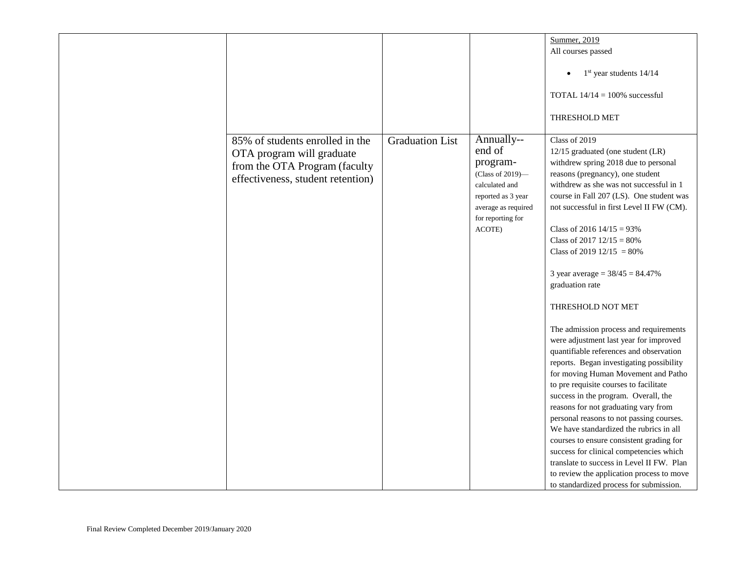|                                                                                                                                    |                        |                                                                                                                                                    | Summer, 2019                                                                                                                                                                                                                                                                                                                                                                                                                                                                                                                                                                                                                                                                                                                                                                                                                                                                                                                                                                                                                                                         |
|------------------------------------------------------------------------------------------------------------------------------------|------------------------|----------------------------------------------------------------------------------------------------------------------------------------------------|----------------------------------------------------------------------------------------------------------------------------------------------------------------------------------------------------------------------------------------------------------------------------------------------------------------------------------------------------------------------------------------------------------------------------------------------------------------------------------------------------------------------------------------------------------------------------------------------------------------------------------------------------------------------------------------------------------------------------------------------------------------------------------------------------------------------------------------------------------------------------------------------------------------------------------------------------------------------------------------------------------------------------------------------------------------------|
|                                                                                                                                    |                        |                                                                                                                                                    | All courses passed                                                                                                                                                                                                                                                                                                                                                                                                                                                                                                                                                                                                                                                                                                                                                                                                                                                                                                                                                                                                                                                   |
|                                                                                                                                    |                        |                                                                                                                                                    |                                                                                                                                                                                                                                                                                                                                                                                                                                                                                                                                                                                                                                                                                                                                                                                                                                                                                                                                                                                                                                                                      |
|                                                                                                                                    |                        |                                                                                                                                                    | $1st$ year students $14/14$                                                                                                                                                                                                                                                                                                                                                                                                                                                                                                                                                                                                                                                                                                                                                                                                                                                                                                                                                                                                                                          |
|                                                                                                                                    |                        |                                                                                                                                                    | TOTAL $14/14 = 100\%$ successful                                                                                                                                                                                                                                                                                                                                                                                                                                                                                                                                                                                                                                                                                                                                                                                                                                                                                                                                                                                                                                     |
|                                                                                                                                    |                        |                                                                                                                                                    | THRESHOLD MET                                                                                                                                                                                                                                                                                                                                                                                                                                                                                                                                                                                                                                                                                                                                                                                                                                                                                                                                                                                                                                                        |
| 85% of students enrolled in the<br>OTA program will graduate<br>from the OTA Program (faculty<br>effectiveness, student retention) | <b>Graduation List</b> | Annually--<br>end of<br>program-<br>(Class of 2019)-<br>calculated and<br>reported as 3 year<br>average as required<br>for reporting for<br>ACOTE) | Class of 2019<br>12/15 graduated (one student (LR)<br>withdrew spring 2018 due to personal<br>reasons (pregnancy), one student<br>withdrew as she was not successful in 1<br>course in Fall 207 (LS). One student was<br>not successful in first Level II FW (CM).<br>Class of 2016 $14/15 = 93\%$<br>Class of 2017 $12/15 = 80\%$<br>Class of 2019 $12/15 = 80\%$<br>3 year average = $38/45 = 84.47\%$<br>graduation rate<br>THRESHOLD NOT MET<br>The admission process and requirements<br>were adjustment last year for improved<br>quantifiable references and observation<br>reports. Began investigating possibility<br>for moving Human Movement and Patho<br>to pre requisite courses to facilitate<br>success in the program. Overall, the<br>reasons for not graduating vary from<br>personal reasons to not passing courses.<br>We have standardized the rubrics in all<br>courses to ensure consistent grading for<br>success for clinical competencies which<br>translate to success in Level II FW. Plan<br>to review the application process to move |
|                                                                                                                                    |                        |                                                                                                                                                    | to standardized process for submission.                                                                                                                                                                                                                                                                                                                                                                                                                                                                                                                                                                                                                                                                                                                                                                                                                                                                                                                                                                                                                              |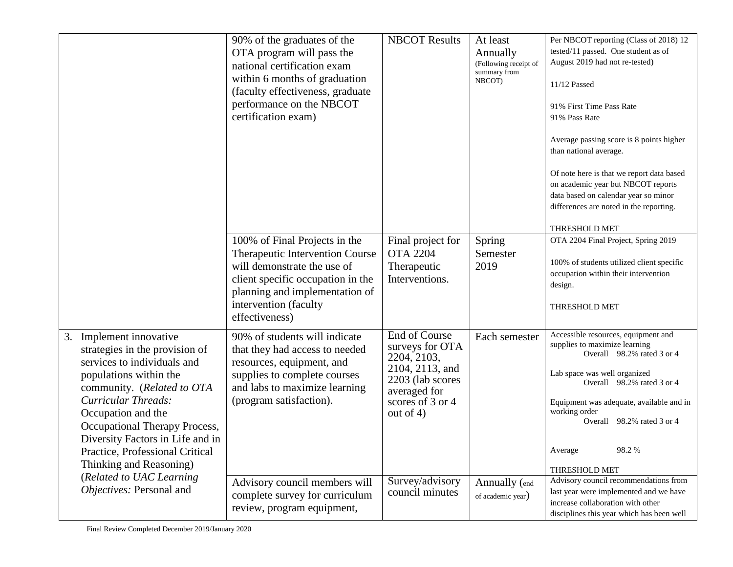|                                                                                                                                                                                                                                                                                                                                     | 90% of the graduates of the<br>OTA program will pass the<br>national certification exam<br>within 6 months of graduation<br>(faculty effectiveness, graduate<br>performance on the NBCOT<br>certification exam)   | <b>NBCOT Results</b>                                                                                                                              | At least<br>Annually<br>(Following receipt of<br>summary from<br>NBCOT) | Per NBCOT reporting (Class of 2018) 12<br>tested/11 passed. One student as of<br>August 2019 had not re-tested)<br>11/12 Passed<br>91% First Time Pass Rate<br>91% Pass Rate<br>Average passing score is 8 points higher<br>than national average.<br>Of note here is that we report data based<br>on academic year but NBCOT reports<br>data based on calendar year so minor<br>differences are noted in the reporting.<br>THRESHOLD MET |
|-------------------------------------------------------------------------------------------------------------------------------------------------------------------------------------------------------------------------------------------------------------------------------------------------------------------------------------|-------------------------------------------------------------------------------------------------------------------------------------------------------------------------------------------------------------------|---------------------------------------------------------------------------------------------------------------------------------------------------|-------------------------------------------------------------------------|-------------------------------------------------------------------------------------------------------------------------------------------------------------------------------------------------------------------------------------------------------------------------------------------------------------------------------------------------------------------------------------------------------------------------------------------|
|                                                                                                                                                                                                                                                                                                                                     | 100% of Final Projects in the<br>Therapeutic Intervention Course<br>will demonstrate the use of<br>client specific occupation in the<br>planning and implementation of<br>intervention (faculty<br>effectiveness) | Final project for<br><b>OTA 2204</b><br>Therapeutic<br>Interventions.                                                                             | Spring<br>Semester<br>2019                                              | OTA 2204 Final Project, Spring 2019<br>100% of students utilized client specific<br>occupation within their intervention<br>design.<br>THRESHOLD MET                                                                                                                                                                                                                                                                                      |
| Implement innovative<br>3.<br>strategies in the provision of<br>services to individuals and<br>populations within the<br>community. (Related to OTA<br>Curricular Threads:<br>Occupation and the<br>Occupational Therapy Process,<br>Diversity Factors in Life and in<br>Practice, Professional Critical<br>Thinking and Reasoning) | 90% of students will indicate<br>that they had access to needed<br>resources, equipment, and<br>supplies to complete courses<br>and labs to maximize learning<br>(program satisfaction).                          | <b>End of Course</b><br>surveys for OTA<br>2204, 2103,<br>2104, 2113, and<br>2203 (lab scores<br>averaged for<br>scores of 3 or 4<br>out of $4$ ) | Each semester                                                           | Accessible resources, equipment and<br>supplies to maximize learning<br>Overall 98.2% rated 3 or 4<br>Lab space was well organized<br>Overall 98.2% rated 3 or 4<br>Equipment was adequate, available and in<br>working order<br>Overall 98.2% rated 3 or 4<br>98.2%<br>Average<br>THRESHOLD MET                                                                                                                                          |
| (Related to UAC Learning<br>Objectives: Personal and                                                                                                                                                                                                                                                                                | Advisory council members will<br>complete survey for curriculum<br>review, program equipment,                                                                                                                     | Survey/advisory<br>council minutes                                                                                                                | Annually (end<br>of academic year)                                      | Advisory council recommendations from<br>last year were implemented and we have<br>increase collaboration with other<br>disciplines this year which has been well                                                                                                                                                                                                                                                                         |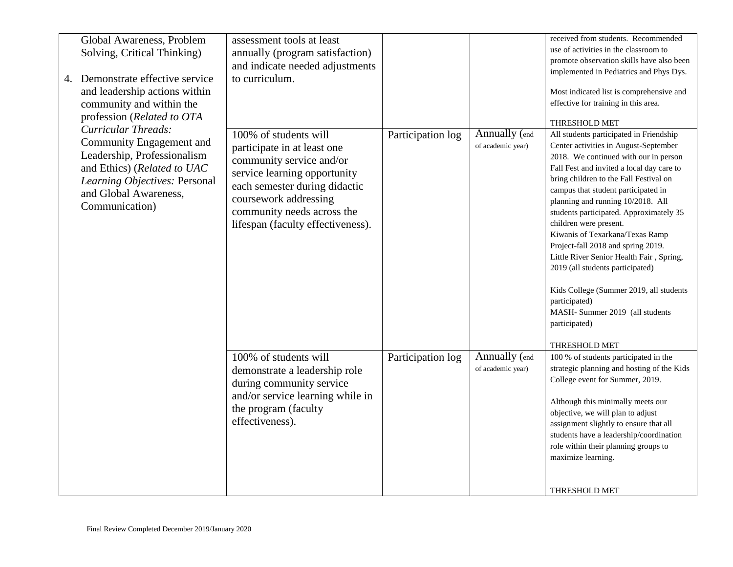| Global Awareness, Problem<br>Solving, Critical Thinking)                                                                                                           | assessment tools at least<br>annually (program satisfaction)                                                                                                                                                                                  |                   |                                           | received from students. Recommended<br>use of activities in the classroom to                                                                                                                                                                                                                                                                                                                                                                                                                                                                                                                                                                                |
|--------------------------------------------------------------------------------------------------------------------------------------------------------------------|-----------------------------------------------------------------------------------------------------------------------------------------------------------------------------------------------------------------------------------------------|-------------------|-------------------------------------------|-------------------------------------------------------------------------------------------------------------------------------------------------------------------------------------------------------------------------------------------------------------------------------------------------------------------------------------------------------------------------------------------------------------------------------------------------------------------------------------------------------------------------------------------------------------------------------------------------------------------------------------------------------------|
|                                                                                                                                                                    | and indicate needed adjustments                                                                                                                                                                                                               |                   |                                           | promote observation skills have also been<br>implemented in Pediatrics and Phys Dys.                                                                                                                                                                                                                                                                                                                                                                                                                                                                                                                                                                        |
| 4. Demonstrate effective service<br>and leadership actions within<br>community and within the<br>profession (Related to OTA<br>Curricular Threads:                 | to curriculum.                                                                                                                                                                                                                                |                   |                                           | Most indicated list is comprehensive and<br>effective for training in this area.<br>THRESHOLD MET                                                                                                                                                                                                                                                                                                                                                                                                                                                                                                                                                           |
| Community Engagement and<br>Leadership, Professionalism<br>and Ethics) (Related to UAC<br>Learning Objectives: Personal<br>and Global Awareness,<br>Communication) | 100% of students will<br>participate in at least one<br>community service and/or<br>service learning opportunity<br>each semester during didactic<br>coursework addressing<br>community needs across the<br>lifespan (faculty effectiveness). | Participation log | Annually (end<br>of academic year)        | All students participated in Friendship<br>Center activities in August-September<br>2018. We continued with our in person<br>Fall Fest and invited a local day care to<br>bring children to the Fall Festival on<br>campus that student participated in<br>planning and running 10/2018. All<br>students participated. Approximately 35<br>children were present.<br>Kiwanis of Texarkana/Texas Ramp<br>Project-fall 2018 and spring 2019.<br>Little River Senior Health Fair, Spring,<br>2019 (all students participated)<br>Kids College (Summer 2019, all students<br>participated)<br>MASH- Summer 2019 (all students<br>participated)<br>THRESHOLD MET |
|                                                                                                                                                                    | 100% of students will<br>demonstrate a leadership role<br>during community service<br>and/or service learning while in<br>the program (faculty<br>effectiveness).                                                                             | Participation log | <b>Annually</b> (end<br>of academic year) | 100 % of students participated in the<br>strategic planning and hosting of the Kids<br>College event for Summer, 2019.<br>Although this minimally meets our<br>objective, we will plan to adjust<br>assignment slightly to ensure that all<br>students have a leadership/coordination<br>role within their planning groups to<br>maximize learning.<br><b>THRESHOLD MET</b>                                                                                                                                                                                                                                                                                 |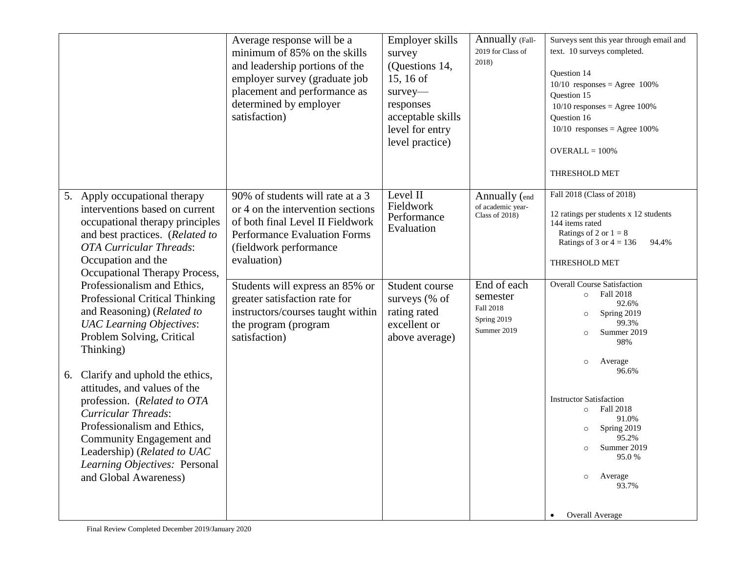|                                                                                                                                                                                                                                                                                               | Average response will be a<br>minimum of 85% on the skills<br>and leadership portions of the<br>employer survey (graduate job<br>placement and performance as<br>determined by employer<br>satisfaction)                     | Employer skills<br>survey<br>(Questions 14,<br>15, 16 of<br>survey-<br>responses<br>acceptable skills<br>level for entry<br>level practice) | Annually (Fall-<br>2019 for Class of<br>2018)                       | Surveys sent this year through email and<br>text. 10 surveys completed.<br>Question 14<br>$10/10$ responses = Agree 100%<br>Question 15<br>$10/10$ responses = Agree 100%<br>Question 16<br>$10/10$ responses = Agree 100%<br>$OVERALL = 100\%$<br>THRESHOLD MET |
|-----------------------------------------------------------------------------------------------------------------------------------------------------------------------------------------------------------------------------------------------------------------------------------------------|------------------------------------------------------------------------------------------------------------------------------------------------------------------------------------------------------------------------------|---------------------------------------------------------------------------------------------------------------------------------------------|---------------------------------------------------------------------|------------------------------------------------------------------------------------------------------------------------------------------------------------------------------------------------------------------------------------------------------------------|
| Apply occupational therapy<br>5.<br>interventions based on current<br>occupational therapy principles<br>and best practices. (Related to<br><b>OTA Curricular Threads:</b><br>Occupation and the<br>Occupational Therapy Process,<br>Professionalism and Ethics,                              | 90% of students will rate at a 3<br>or 4 on the intervention sections<br>of both final Level II Fieldwork<br><b>Performance Evaluation Forms</b><br>(fieldwork performance<br>evaluation)<br>Students will express an 85% or | Level II<br>Fieldwork<br>Performance<br>Evaluation<br>Student course                                                                        | Annually (end<br>of academic year-<br>Class of 2018)<br>End of each | Fall 2018 (Class of 2018)<br>12 ratings per students x 12 students<br>144 items rated<br>Ratings of 2 or $1 = 8$<br>Ratings of 3 or $4 = 136$<br>94.4%<br>THRESHOLD MET<br><b>Overall Course Satisfaction</b>                                                    |
| Professional Critical Thinking<br>and Reasoning) (Related to<br><b>UAC</b> Learning Objectives:<br>Problem Solving, Critical<br>Thinking)                                                                                                                                                     | greater satisfaction rate for<br>instructors/courses taught within<br>the program (program<br>satisfaction)                                                                                                                  | surveys (% of<br>rating rated<br>excellent or<br>above average)                                                                             | semester<br>Fall 2018<br>Spring 2019<br>Summer 2019                 | Fall 2018<br>$\circ$<br>92.6%<br>Spring 2019<br>$\circ$<br>99.3%<br>Summer 2019<br>$\circ$<br>98%<br>Average<br>$\circ$<br>96.6%                                                                                                                                 |
| Clarify and uphold the ethics,<br>6.<br>attitudes, and values of the<br>profession. (Related to OTA<br><b>Curricular Threads:</b><br>Professionalism and Ethics,<br>Community Engagement and<br>Leadership) ( <i>Related to UAC</i><br>Learning Objectives: Personal<br>and Global Awareness) |                                                                                                                                                                                                                              |                                                                                                                                             |                                                                     | <b>Instructor Satisfaction</b><br>Fall 2018<br>$\circ$<br>91.0%<br>Spring 2019<br>95.2%<br>Summer 2019<br>95.0 %<br>Average<br>$\circ$<br>93.7%                                                                                                                  |
|                                                                                                                                                                                                                                                                                               |                                                                                                                                                                                                                              |                                                                                                                                             |                                                                     | Overall Average<br>$\bullet$                                                                                                                                                                                                                                     |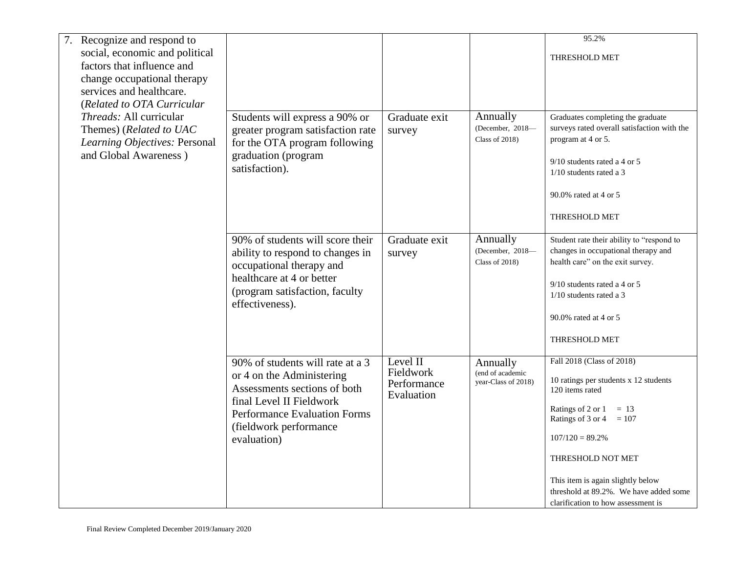| Recognize and respond to                                                                                            |                                                                                                                                                                                                           |                                                    |                                                     | 95.2%                                                                                                                                                                                                                                                                                                                |
|---------------------------------------------------------------------------------------------------------------------|-----------------------------------------------------------------------------------------------------------------------------------------------------------------------------------------------------------|----------------------------------------------------|-----------------------------------------------------|----------------------------------------------------------------------------------------------------------------------------------------------------------------------------------------------------------------------------------------------------------------------------------------------------------------------|
| social, economic and political                                                                                      |                                                                                                                                                                                                           |                                                    |                                                     | THRESHOLD MET                                                                                                                                                                                                                                                                                                        |
| factors that influence and                                                                                          |                                                                                                                                                                                                           |                                                    |                                                     |                                                                                                                                                                                                                                                                                                                      |
| change occupational therapy<br>services and healthcare.                                                             |                                                                                                                                                                                                           |                                                    |                                                     |                                                                                                                                                                                                                                                                                                                      |
| (Related to OTA Curricular                                                                                          |                                                                                                                                                                                                           |                                                    |                                                     |                                                                                                                                                                                                                                                                                                                      |
| <i>Threads: All curricular</i><br>Themes) (Related to UAC<br>Learning Objectives: Personal<br>and Global Awareness) | Students will express a 90% or<br>greater program satisfaction rate<br>for the OTA program following<br>graduation (program<br>satisfaction).                                                             | Graduate exit<br>survey                            | Annually<br>(December, 2018-<br>Class of 2018)      | Graduates completing the graduate<br>surveys rated overall satisfaction with the<br>program at 4 or 5.<br>$9/10$ students rated a 4 or 5<br>1/10 students rated a 3<br>90.0% rated at 4 or 5<br>THRESHOLD MET                                                                                                        |
|                                                                                                                     | 90% of students will score their<br>ability to respond to changes in<br>occupational therapy and<br>healthcare at 4 or better<br>(program satisfaction, faculty<br>effectiveness).                        | Graduate exit<br>survey                            | Annually<br>(December, 2018-<br>Class of 2018)      | Student rate their ability to "respond to<br>changes in occupational therapy and<br>health care" on the exit survey.<br>$9/10$ students rated a 4 or 5<br>$1/10$ students rated a 3<br>90.0% rated at 4 or 5<br>THRESHOLD MET                                                                                        |
|                                                                                                                     | 90% of students will rate at a 3<br>or 4 on the Administering<br>Assessments sections of both<br>final Level II Fieldwork<br><b>Performance Evaluation Forms</b><br>(fieldwork performance<br>evaluation) | Level II<br>Fieldwork<br>Performance<br>Evaluation | Annually<br>(end of academic<br>year-Class of 2018) | Fall 2018 (Class of 2018)<br>10 ratings per students x 12 students<br>120 items rated<br>Ratings of 2 or 1<br>$= 13$<br>Ratings of 3 or 4<br>$= 107$<br>$107/120 = 89.2\%$<br>THRESHOLD NOT MET<br>This item is again slightly below<br>threshold at 89.2%. We have added some<br>clarification to how assessment is |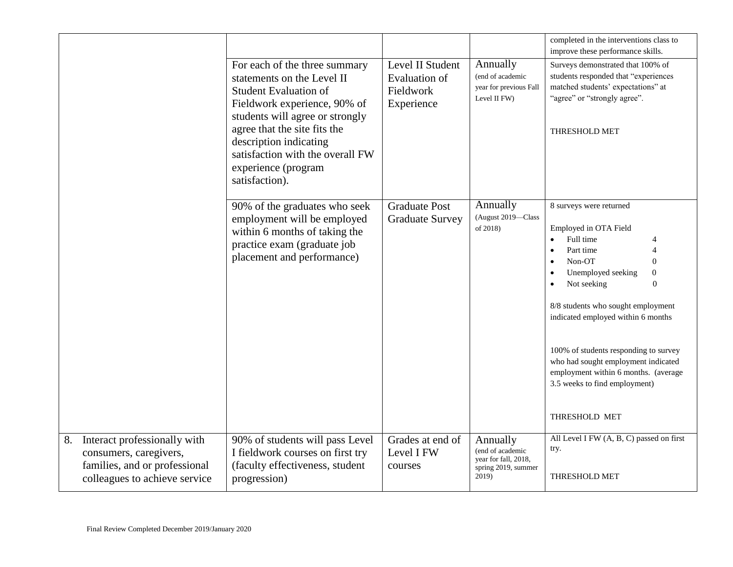|                                                                                                                                |                                                                                                                                                                                                                                                                                                       |                                                                     |                                                                                      | completed in the interventions class to<br>improve these performance skills.                                                                                                                                                                                                                                                                                                                                                                                                                          |
|--------------------------------------------------------------------------------------------------------------------------------|-------------------------------------------------------------------------------------------------------------------------------------------------------------------------------------------------------------------------------------------------------------------------------------------------------|---------------------------------------------------------------------|--------------------------------------------------------------------------------------|-------------------------------------------------------------------------------------------------------------------------------------------------------------------------------------------------------------------------------------------------------------------------------------------------------------------------------------------------------------------------------------------------------------------------------------------------------------------------------------------------------|
|                                                                                                                                | For each of the three summary<br>statements on the Level II<br><b>Student Evaluation of</b><br>Fieldwork experience, 90% of<br>students will agree or strongly<br>agree that the site fits the<br>description indicating<br>satisfaction with the overall FW<br>experience (program<br>satisfaction). | Level II Student<br><b>Evaluation of</b><br>Fieldwork<br>Experience | Annually<br>(end of academic<br>year for previous Fall<br>Level II FW)               | Surveys demonstrated that 100% of<br>students responded that "experiences<br>matched students' expectations" at<br>"agree" or "strongly agree".<br>THRESHOLD MET                                                                                                                                                                                                                                                                                                                                      |
|                                                                                                                                | 90% of the graduates who seek<br>employment will be employed<br>within 6 months of taking the<br>practice exam (graduate job<br>placement and performance)                                                                                                                                            | <b>Graduate Post</b><br><b>Graduate Survey</b>                      | Annually<br>(August 2019-Class<br>of 2018)                                           | 8 surveys were returned<br>Employed in OTA Field<br>Full time<br>$\bullet$<br>Part time<br>$\overline{4}$<br>$\bullet$<br>Non-OT<br>$\mathbf{0}$<br>$\bullet$<br>Unemployed seeking<br>$\boldsymbol{0}$<br>$\bullet$<br>Not seeking<br>$\theta$<br>8/8 students who sought employment<br>indicated employed within 6 months<br>100% of students responding to survey<br>who had sought employment indicated<br>employment within 6 months. (average<br>3.5 weeks to find employment)<br>THRESHOLD MET |
| Interact professionally with<br>8.<br>consumers, caregivers,<br>families, and or professional<br>colleagues to achieve service | 90% of students will pass Level<br>I fieldwork courses on first try<br>(faculty effectiveness, student<br>progression)                                                                                                                                                                                | Grades at end of<br>Level I FW<br>courses                           | Annually<br>(end of academic<br>year for fall, 2018,<br>spring 2019, summer<br>2019) | All Level I FW (A, B, C) passed on first<br>try.<br><b>THRESHOLD MET</b>                                                                                                                                                                                                                                                                                                                                                                                                                              |